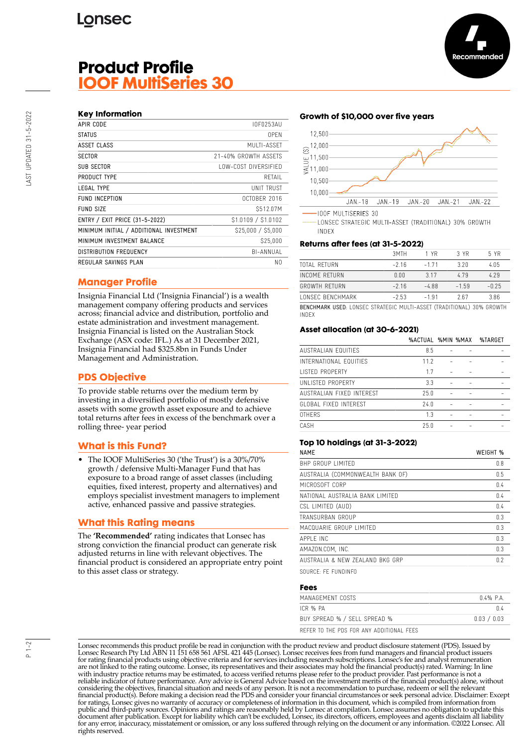# **Product Profile IOOF MultiSeries 30**

### **Key Information**

| APIR CODE                               | IOF0253AU            |
|-----------------------------------------|----------------------|
| <b>STATUS</b>                           | 0PFN                 |
| ASSET CLASS                             | MUITI-ASSFT          |
| <b>SECTOR</b>                           | 21-40% GROWTH ASSETS |
| <b>SUB SECTOR</b>                       | LOW-COST DIVERSIFIED |
| PRODUCT TYPE                            | RETAIL               |
| LEGAL TYPE                              | UNIT TRUST           |
| FUND INCEPTION                          | OCTOBER 2016         |
| FUND SIZE                               | S512.07M             |
| ENTRY / EXIT PRICE (31-5-2022)          | \$1.0109 / \$1.0102  |
| MINIMUM INITIAL / ADDITIONAL INVESTMENT | \$25,000 / \$5,000   |
| MINIMUM INVESTMENT BALANCE              | \$25,000             |
| <b>DISTRIBUTION FREQUENCY</b>           | BI-ANNUAL            |
| REGULAR SAVINGS PLAN                    | N0                   |
|                                         |                      |

### **Manager Profile**

Insignia Financial Ltd ('Insignia Financial') is a wealth management company offering products and services across; financial advice and distribution, portfolio and estate administration and investment management. Insignia Financial is listed on the Australian Stock Exchange (ASX code: IFL.) As at 31 December 2021, Insignia Financial had \$325.8bn in Funds Under Management and Administration.

## **PDS Objective**

To provide stable returns over the medium term by investing in a diversified portfolio of mostly defensive assets with some growth asset exposure and to achieve total returns after fees in excess of the benchmark over a rolling three- year period

### **What is this Fund?**

• The IOOF MultiSeries 30 ('the Trust') is a 30%/70% growth / defensive Multi-Manager Fund that has exposure to a broad range of asset classes (including equities, fixed interest, property and alternatives) and employs specialist investment managers to implement active, enhanced passive and passive strategies.

#### **What this Rating means**

The **'Recommended'** rating indicates that Lonsec has strong conviction the financial product can generate risk adjusted returns in line with relevant objectives. The financial product is considered an appropriate entry point to this asset class or strategy.

#### **Growth of \$10,000 over five years**



LONSEC STRATEGIC MULTI-ASSET (TRADITIONAL) 30% GROWTH INDEX

#### **Returns after fees (at 31-5-2022)**

|                                                                              | 3MTH    | 1 YR    | 3 YR    | 5 YR    |
|------------------------------------------------------------------------------|---------|---------|---------|---------|
| TOTAI RETURN                                                                 | $-216$  | $-171$  | 320     | 4.05    |
| INCOME RETURN                                                                | 0.00    | 317     | 479     | 4.29    |
| GROWTH RFTURN                                                                | $-216$  | -488    | $-1.59$ | $-0.25$ |
| LONSEC BENCHMARK                                                             | $-2.53$ | $-1.91$ | 267     | 3.86    |
| <b>DEMOUMANIX HOED</b> LONGEC CIDATEGIC MULTI ACCET (TOADITIONAL) SON CROWTH |         |         |         |         |

BENCHMARK USED: LONSEC STRATEGIC MULTI-ASSET (TRADITIONAL) 30% GROWTH INDEX

#### **Asset allocation (at 30-6-2021)**

|                           | %ACTUAL %MIN %MAX |  | %TARGET |
|---------------------------|-------------------|--|---------|
| AUSTRALIAN EQUITIES       | 8.5               |  |         |
| INTERNATIONAL EQUITIES    | 11.2              |  |         |
| <b>LISTED PROPERTY</b>    | 1.7               |  |         |
| UNLISTED PROPERTY         | 3.3               |  |         |
| AUSTRALIAN FIXED INTEREST | 25.0              |  |         |
| GLOBAL FIXED INTEREST     | 74.0              |  |         |
| <b>OTHERS</b>             | 1.3               |  |         |
| CASH                      | 25.0              |  |         |
|                           |                   |  |         |

#### **Top 10 holdings (at 31-3-2022)**

| <b>NAMF</b>                      | WEIGHT % |
|----------------------------------|----------|
| BHP GROUP LIMITED                | 0.8      |
| AUSTRALIA (COMMONWEALTH BANK OF) | 0.5      |
| MICROSOFT CORP                   | 0.4      |
| NATIONAL AUSTRALIA BANK LIMITED  | 0.4      |
| CSL LIMITED (AUD)                | 0.4      |
| TRANSURBAN GROUP                 | 0.3      |
| MACQUARIF GROUP LIMITED          | 0.3      |
| APPI F INC                       | 0.3      |
| AMAZON.COM, INC.                 | 0.3      |
| AUSTRALIA & NEW ZEALAND BKG GRP  | 0.2      |
|                                  |          |

SOURCE: FE FUNDINFO

#### **Fees**

| MANAGEMENT COSTS                         | 04% PA      |
|------------------------------------------|-------------|
| ICR % PA                                 | በ 4         |
| BUY SPREAD % / SELL SPREAD %             | 0.03 / 0.03 |
| REFER TO THE PDS FOR ANY ADDITIONAL FEES |             |

Lonsec recommends this product profile be read in conjunction with the product review and product disclosure statement (PDS). Issued by Lonsec Research Pty Ltd ABN 11 151 658 561 AFSL 421 445 (Lonsec). Lonsec receives fees from fund managers and financial product issuers for rating financial products using objective criteria and for services including research subscriptions. Lonsec's fee and analyst remuneration are not linked to the rating outcome. Lonsec, its representatives and their associates may hold the financial product(s) rated. Warning: In line with industry practice returns may be estimated, to access verified returns please refer to the product provider. Past performance is not a reliable indicator of future performance. Any advice is General Advice based on the investment merits of the financial product(s) alone, without considering the objectives, financial situation and needs of any person. It is not a recommendation to purchase, redeem or sell the relevant<br>financial product(s). Before making a decision read the PDS and consider your fin public and third-party sources. Opinions and ratings are reasonably held by Lonsec at compilation. Lonsec assumes no obligation to update this document after publication. Except for liability which can't be excluded, Lonsec, its directors, officers, employees and agents disclaim all liability for any error, inaccuracy, misstatement or omission, or any loss suffered through relying on the document or any information. ©2022 Lonsec. All rights reserved.